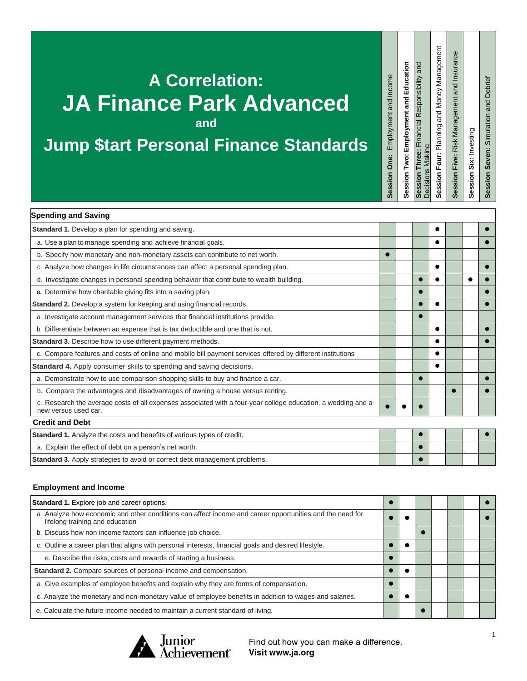## **A Correlation: JA Finance Park Advanced and**

### **Jump \$tart Personal Finance Standards**

Session Seven: Simulation and Debrief **Session Seven:** Simulation and Debrief **Session Six:** Investing

Session Six: Investing

**Session Five:** Risk Management and Insurance

Session Five: Risk Management and Insurance

| <b>Spending and Saving</b>                                                                                                           |  |  |           |  |
|--------------------------------------------------------------------------------------------------------------------------------------|--|--|-----------|--|
| Standard 1. Develop a plan for spending and saving.                                                                                  |  |  |           |  |
| a. Use a plan to manage spending and achieve financial goals.                                                                        |  |  |           |  |
| b. Specify how monetary and non-monetary assets can contribute to net worth.                                                         |  |  |           |  |
| c. Analyze how changes in life circumstances can affect a personal spending plan.                                                    |  |  |           |  |
| d. Investigate changes in personal spending behavior that contribute to wealth building.                                             |  |  |           |  |
| e. Determine how charitable giving fits into a saving plan.                                                                          |  |  |           |  |
| Standard 2. Develop a system for keeping and using financial records.                                                                |  |  |           |  |
| a. Investigate account management services that financial institutions provide.                                                      |  |  |           |  |
| b. Differentiate between an expense that is tax deductible and one that is not.                                                      |  |  |           |  |
| Standard 3. Describe how to use different payment methods.                                                                           |  |  |           |  |
| c. Compare features and costs of online and mobile bill payment services offered by different institutions                           |  |  |           |  |
| Standard 4. Apply consumer skills to spending and saving decisions.                                                                  |  |  |           |  |
| a. Demonstrate how to use comparison shopping skills to buy and finance a car.                                                       |  |  |           |  |
| b. Compare the advantages and disadvantages of owning a house versus renting.                                                        |  |  | $\bullet$ |  |
| c. Research the average costs of all expenses associated with a four-year college education, a wedding and a<br>new versus used car. |  |  |           |  |
| <b>Credit and Debt</b>                                                                                                               |  |  |           |  |
| <b>Standard 1.</b> Analyze the costs and benefits of various types of credit.                                                        |  |  |           |  |
| a. Explain the effect of debt on a person's net worth.                                                                               |  |  |           |  |
| <b>Standard 3.</b> Apply strategies to avoid or correct debt management problems.                                                    |  |  |           |  |

#### **Employment and Income**

| Standard 1. Explore job and career options.                                                                                                 |  |  |  |  |
|---------------------------------------------------------------------------------------------------------------------------------------------|--|--|--|--|
| a. Analyze how economic and other conditions can affect income and career opportunities and the need for<br>lifelong training and education |  |  |  |  |
| b. Discuss how non income factors can influence job choice.                                                                                 |  |  |  |  |
| c. Outline a career plan that aligns with personal interests, financial goals and desired lifestyle.                                        |  |  |  |  |
| e. Describe the risks, costs and rewards of starting a business.                                                                            |  |  |  |  |
| Standard 2. Compare sources of personal income and compensation.                                                                            |  |  |  |  |
| a. Give examples of employee benefits and explain why they are forms of compensation.                                                       |  |  |  |  |
| c. Analyze the monetary and non-monetary value of employee benefits in addition to wages and salaries.                                      |  |  |  |  |
| e. Calculate the future income needed to maintain a current standard of living.                                                             |  |  |  |  |



Find out how you can make a difference. Visit www.ja.org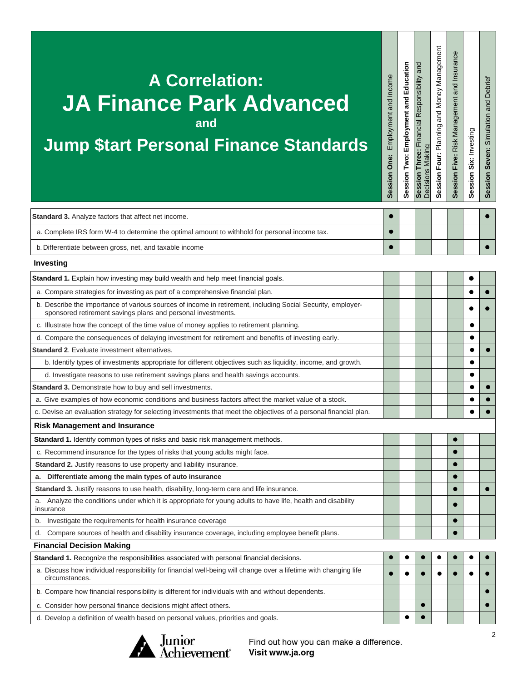# **A Correlation: JA Finance Park Advanced and**

### **Jump \$tart Personal Finance Standards**

a. Complete IRS form W-4 to determine the optimal amount to withhold for personal income tax. ● ●

| b. Differentiate between gross, net, and taxable income                                                                                                                     |   |  |  |  |
|-----------------------------------------------------------------------------------------------------------------------------------------------------------------------------|---|--|--|--|
| Investing                                                                                                                                                                   |   |  |  |  |
| Standard 1. Explain how investing may build wealth and help meet financial goals.                                                                                           |   |  |  |  |
| a. Compare strategies for investing as part of a comprehensive financial plan.                                                                                              |   |  |  |  |
| b. Describe the importance of various sources of income in retirement, including Social Security, employer-<br>sponsored retirement savings plans and personal investments. |   |  |  |  |
| c. Illustrate how the concept of the time value of money applies to retirement planning.                                                                                    |   |  |  |  |
| d. Compare the consequences of delaying investment for retirement and benefits of investing early.                                                                          |   |  |  |  |
| <b>Standard 2.</b> Evaluate investment alternatives.                                                                                                                        |   |  |  |  |
| b. Identify types of investments appropriate for different objectives such as liquidity, income, and growth.                                                                |   |  |  |  |
| d. Investigate reasons to use retirement savings plans and health savings accounts.                                                                                         |   |  |  |  |
| Standard 3. Demonstrate how to buy and sell investments.                                                                                                                    |   |  |  |  |
| a. Give examples of how economic conditions and business factors affect the market value of a stock.                                                                        |   |  |  |  |
| c. Devise an evaluation strategy for selecting investments that meet the objectives of a personal financial plan.                                                           |   |  |  |  |
| <b>Risk Management and Insurance</b>                                                                                                                                        |   |  |  |  |
| Standard 1. Identify common types of risks and basic risk management methods.                                                                                               |   |  |  |  |
| c. Recommend insurance for the types of risks that young adults might face.                                                                                                 |   |  |  |  |
| Standard 2. Justify reasons to use property and liability insurance.                                                                                                        |   |  |  |  |
| Differentiate among the main types of auto insurance                                                                                                                        |   |  |  |  |
| Standard 3. Justify reasons to use health, disability, long-term care and life insurance.                                                                                   |   |  |  |  |
| Analyze the conditions under which it is appropriate for young adults to have life, health and disability<br>а.<br>insurance                                                |   |  |  |  |
| Investigate the requirements for health insurance coverage<br>b.                                                                                                            |   |  |  |  |
| Compare sources of health and disability insurance coverage, including employee benefit plans.<br>d.                                                                        |   |  |  |  |
| <b>Financial Decision Making</b>                                                                                                                                            |   |  |  |  |
| Standard 1. Recognize the responsibilities associated with personal financial decisions.                                                                                    |   |  |  |  |
| a. Discuss how individual responsibility for financial well-being will change over a lifetime with changing life<br>circumstances.                                          |   |  |  |  |
| b. Compare how financial responsibility is different for individuals with and without dependents.                                                                           |   |  |  |  |
| c. Consider how personal finance decisions might affect others.                                                                                                             |   |  |  |  |
| d. Develop a definition of wealth based on personal values, priorities and goals.                                                                                           | e |  |  |  |

**Standard 3.** Analyze factors that affect net income. ⚫ ⚫



Find out how you can make a difference. Visit www.ja.org

**Session One:** Employment and Income

**Session Two: Employment and Education Session Three:** Financial Responsibility and

Session Three: Financial Responsibility and<br>Decisions Making Session Two: Employment and Education Session One: Employment and Income

Decisions Making

**Session Four:** Planning and Money Management **Session Five:** Risk Management and Insurance

Session Four: Planning and Money Management Session Five: Risk Management and Insurance

**Session Six:** Investing

Session Six: Investing

**Session Seven:** Simulation and Debrief

Session Seven: Simulation and Debrief